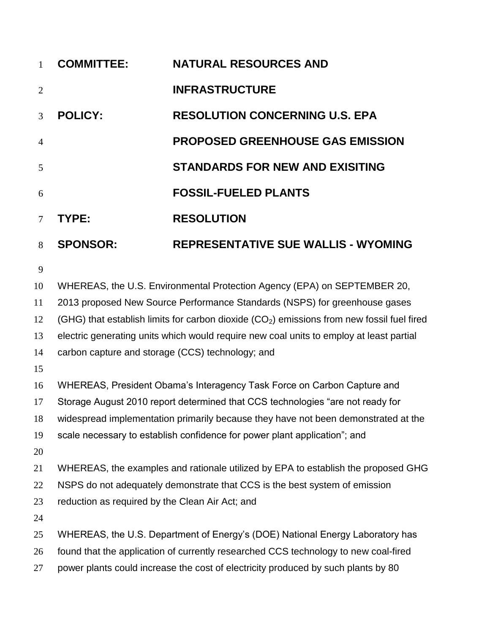| $\mathbf{1}$   | <b>COMMITTEE:</b> | <b>NATURAL RESOURCES AND</b>               |
|----------------|-------------------|--------------------------------------------|
| $\overline{2}$ |                   | <b>INFRASTRUCTURE</b>                      |
| 3              | <b>POLICY:</b>    | <b>RESOLUTION CONCERNING U.S. EPA</b>      |
| $\overline{4}$ |                   | <b>PROPOSED GREENHOUSE GAS EMISSION</b>    |
| 5              |                   | <b>STANDARDS FOR NEW AND EXISITING</b>     |
| 6              |                   | <b>FOSSIL-FUELED PLANTS</b>                |
| $\tau$         | TYPE:             | <b>RESOLUTION</b>                          |
| 8              | <b>SPONSOR:</b>   | <b>REPRESENTATIVE SUE WALLIS - WYOMING</b> |

WHEREAS, the U.S. Environmental Protection Agency (EPA) on SEPTEMBER 20,

2013 proposed New Source Performance Standards (NSPS) for greenhouse gases

12 (GHG) that establish limits for carbon dioxide  $(CO<sub>2</sub>)$  emissions from new fossil fuel fired

electric generating units which would require new coal units to employ at least partial

carbon capture and storage (CCS) technology; and

WHEREAS, President Obama's Interagency Task Force on Carbon Capture and

Storage August 2010 report determined that CCS technologies "are not ready for

widespread implementation primarily because they have not been demonstrated at the

scale necessary to establish confidence for power plant application"; and

WHEREAS, the examples and rationale utilized by EPA to establish the proposed GHG

22 NSPS do not adequately demonstrate that CCS is the best system of emission

reduction as required by the Clean Air Act; and

WHEREAS, the U.S. Department of Energy's (DOE) National Energy Laboratory has

found that the application of currently researched CCS technology to new coal-fired

power plants could increase the cost of electricity produced by such plants by 80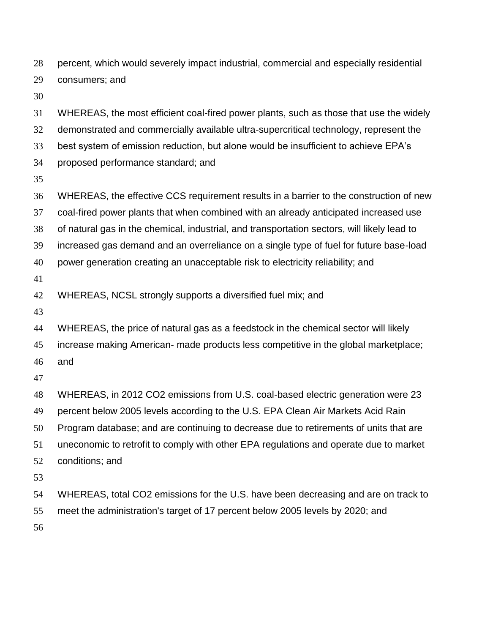percent, which would severely impact industrial, commercial and especially residential consumers; and

 WHEREAS, the most efficient coal-fired power plants, such as those that use the widely demonstrated and commercially available ultra-supercritical technology, represent the best system of emission reduction, but alone would be insufficient to achieve EPA's proposed performance standard; and WHEREAS, the effective CCS requirement results in a barrier to the construction of new coal-fired power plants that when combined with an already anticipated increased use of natural gas in the chemical, industrial, and transportation sectors, will likely lead to increased gas demand and an overreliance on a single type of fuel for future base-load power generation creating an unacceptable risk to electricity reliability; and WHEREAS, NCSL strongly supports a diversified fuel mix; and WHEREAS, the price of natural gas as a feedstock in the chemical sector will likely increase making American- made products less competitive in the global marketplace; and WHEREAS, in 2012 CO2 emissions from U.S. coal-based electric generation were 23 percent below 2005 levels according to the U.S. EPA Clean Air Markets Acid Rain Program database; and are continuing to decrease due to retirements of units that are uneconomic to retrofit to comply with other EPA regulations and operate due to market conditions; and WHEREAS, total CO2 emissions for the U.S. have been decreasing and are on track to meet the administration's target of 17 percent below 2005 levels by 2020; and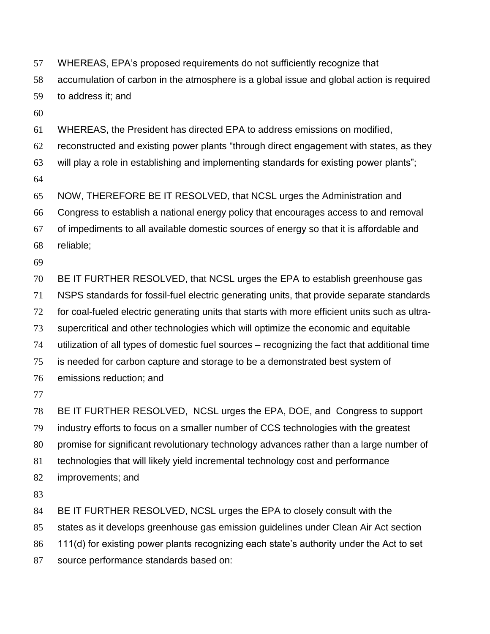- WHEREAS, EPA's proposed requirements do not sufficiently recognize that
- accumulation of carbon in the atmosphere is a global issue and global action is required

to address it; and

WHEREAS, the President has directed EPA to address emissions on modified,

- reconstructed and existing power plants "through direct engagement with states, as they
- will play a role in establishing and implementing standards for existing power plants";
- 

NOW, THEREFORE BE IT RESOLVED, that NCSL urges the Administration and

Congress to establish a national energy policy that encourages access to and removal

- of impediments to all available domestic sources of energy so that it is affordable and
- reliable;
- 

BE IT FURTHER RESOLVED, that NCSL urges the EPA to establish greenhouse gas

- NSPS standards for fossil-fuel electric generating units, that provide separate standards
- for coal-fueled electric generating units that starts with more efficient units such as ultra-
- supercritical and other technologies which will optimize the economic and equitable
- utilization of all types of domestic fuel sources recognizing the fact that additional time
- is needed for carbon capture and storage to be a demonstrated best system of
- emissions reduction; and
- 

 BE IT FURTHER RESOLVED, NCSL urges the EPA, DOE, and Congress to support industry efforts to focus on a smaller number of CCS technologies with the greatest promise for significant revolutionary technology advances rather than a large number of technologies that will likely yield incremental technology cost and performance improvements; and

BE IT FURTHER RESOLVED, NCSL urges the EPA to closely consult with the

states as it develops greenhouse gas emission guidelines under Clean Air Act section

- 111(d) for existing power plants recognizing each state's authority under the Act to set
- source performance standards based on: